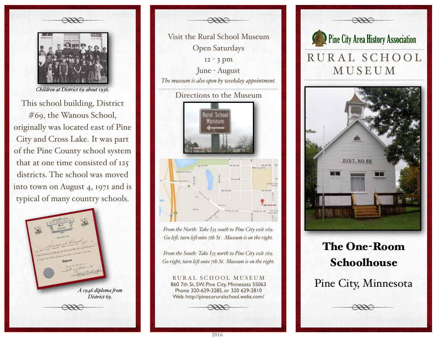

*Children at District 69 about 1936.*

This school building, District #69, the Wanous School, originally was located east of Pine City and Cross Lake. It was part of the Pine County school system that at one time consisted of 125 districts. The school was moved into town on August 4, 1971 and is typical of many country schools.



Wisit the Rural School Mu Visit the Rural School Museum Open Saturdays 12 - 3 pm June - August *The museum is also open by weekday appointment.* Directions to the Museum **City Ave. CM** *From the North: Take I35 south to Pine City exit 169.*

*Go le#, turn le#onto 7th St . Museum is on the right.*

*From the South: Take I35 north to Pine City exit 169. Go right, turn le# onto 7th St. Museum is on the right.*

RURAL SCHOOL MUSEUM 860 7th St. SW, Pine City, Minnesota 55063 Phone 320-629-3285, or 320 629-2810 Web: http://pinecoruralschool.webs.com/



## The One-Room Schoolhouse

## Pine City, Minnesota

 $\frac{1}{\sqrt{2}}$ 

2016